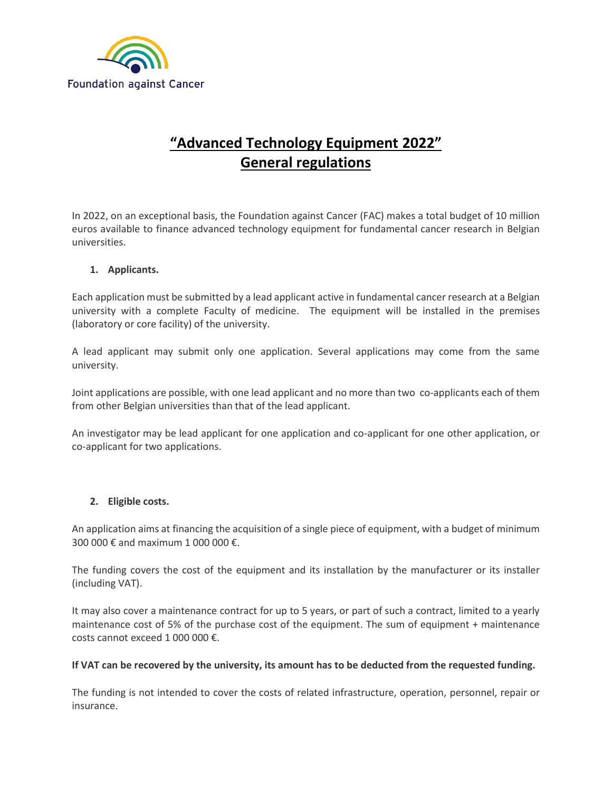

# **"Advanced Technology Equipment 2022" General regulations**

In 2022, on an exceptional basis, the Foundation against Cancer (FAC) makes a total budget of 10 million euros available to finance advanced technology equipment for fundamental cancer research in Belgian universities.

### **1. Applicants.**

Each application must be submitted by a lead applicant active in fundamental cancer research at a Belgian university with a complete Faculty of medicine. The equipment will be installed in the premises (laboratory or core facility) of the university.

A lead applicant may submit only one application. Several applications may come from the same university.

Joint applications are possible, with one lead applicant and no more than two co-applicants each of them from other Belgian universities than that of the lead applicant.

An investigator may be lead applicant for one application and co-applicant for one other application, or co-applicant for two applications.

#### **2. Eligible costs.**

An application aims at financing the acquisition of a single piece of equipment, with a budget of minimum 300,000 € and maximum 1,000,000 €.

The funding covers the cost of the equipment and its installation by the manufacturer or its installer (including VAT).

It may also cover a maintenance contract for up to 5 years, or part of such a contract, limited to a yearly maintenance cost of 5% of the purchase cost of the equipment. The sum of equipment + maintenance costs cannot exceed 1 000 000 €.

#### **If VAT can be recovered by the university, its amount has to be deducted from the requested funding.**

The funding is not intended to cover the costs of related infrastructure, operation, personnel, repair or insurance.